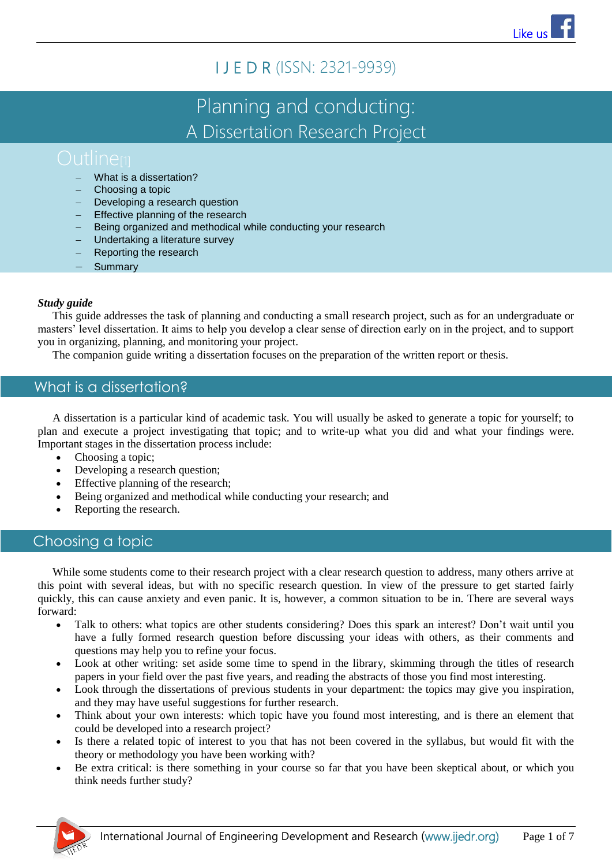# I J E D R (ISSN: 2321-9939)

# Planning and conducting: A Dissertation Research Project

- What is a dissertation?
- Choosing a topic
- Developing a research question
- Effective planning of the research
- Being organized and methodical while conducting your research
- Undertaking a literature survey
- Reporting the research
- **Summary**

## *Study guide*

This guide addresses the task of planning and conducting a small research project, such as for an undergraduate or masters' level dissertation. It aims to help you develop a clear sense of direction early on in the project, and to support you in organizing, planning, and monitoring your project.

The companion guide writing a dissertation focuses on the preparation of the written report or thesis.

# What is a dissertation?

A dissertation is a particular kind of academic task. You will usually be asked to generate a topic for yourself; to plan and execute a project investigating that topic; and to write-up what you did and what your findings were. Important stages in the dissertation process include:

- Choosing a topic;
- Developing a research question;
- Effective planning of the research;
- Being organized and methodical while conducting your research; and
- Reporting the research.

# Choosing a topic

While some students come to their research project with a clear research question to address, many others arrive at this point with several ideas, but with no specific research question. In view of the pressure to get started fairly quickly, this can cause anxiety and even panic. It is, however, a common situation to be in. There are several ways forward:

- Talk to others: what topics are other students considering? Does this spark an interest? Don't wait until you have a fully formed research question before discussing your ideas with others, as their comments and questions may help you to refine your focus.
- Look at other writing: set aside some time to spend in the library, skimming through the titles of research papers in your field over the past five years, and reading the abstracts of those you find most interesting.
- Look through the dissertations of previous students in your department: the topics may give you inspiration, and they may have useful suggestions for further research.
- Think about your own interests: which topic have you found most interesting, and is there an element that could be developed into a research project?
- Is there a related topic of interest to you that has not been covered in the syllabus, but would fit with the theory or methodology you have been working with?
- Be extra critical: is there something in your course so far that you have been skeptical about, or which you think needs further study?

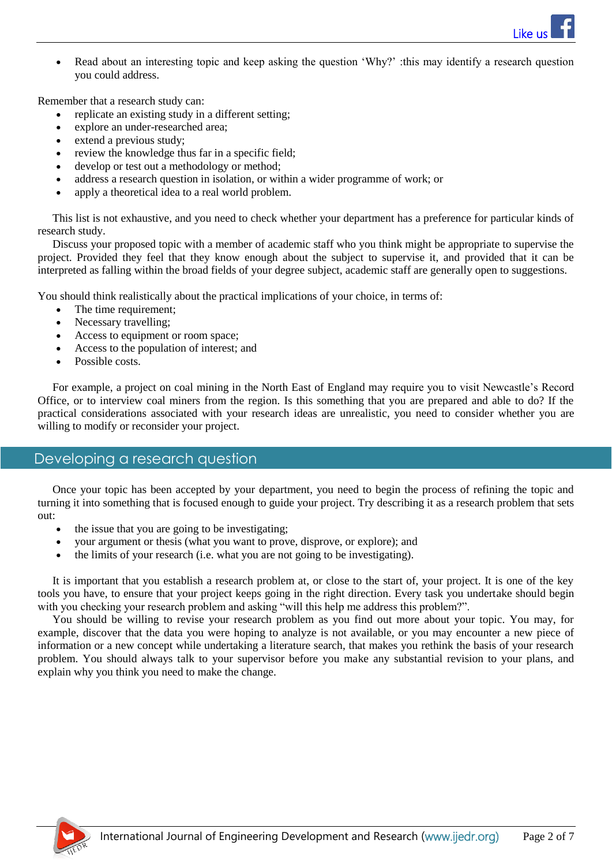

 Read about an interesting topic and keep asking the question 'Why?' :this may identify a research question you could address.

Remember that a research study can:

- replicate an existing study in a different setting;
- explore an under-researched area;
- extend a previous study;
- review the knowledge thus far in a specific field;
- develop or test out a methodology or method;
- address a research question in isolation, or within a wider programme of work; or
- apply a theoretical idea to a real world problem.

This list is not exhaustive, and you need to check whether your department has a preference for particular kinds of research study.

Discuss your proposed topic with a member of academic staff who you think might be appropriate to supervise the project. Provided they feel that they know enough about the subject to supervise it, and provided that it can be interpreted as falling within the broad fields of your degree subject, academic staff are generally open to suggestions.

You should think realistically about the practical implications of your choice, in terms of:

- The time requirement;
- Necessary travelling;
- Access to equipment or room space;
- Access to the population of interest; and
- Possible costs.

For example, a project on coal mining in the North East of England may require you to visit Newcastle's Record Office, or to interview coal miners from the region. Is this something that you are prepared and able to do? If the practical considerations associated with your research ideas are unrealistic, you need to consider whether you are willing to modify or reconsider your project.

# Developing a research question

Once your topic has been accepted by your department, you need to begin the process of refining the topic and turning it into something that is focused enough to guide your project. Try describing it as a research problem that sets out:

- the issue that you are going to be investigating;
- your argument or thesis (what you want to prove, disprove, or explore); and
- $\bullet$  the limits of your research (i.e. what you are not going to be investigating).

It is important that you establish a research problem at, or close to the start of, your project. It is one of the key tools you have, to ensure that your project keeps going in the right direction. Every task you undertake should begin with you checking your research problem and asking "will this help me address this problem?".

You should be willing to revise your research problem as you find out more about your topic. You may, for example, discover that the data you were hoping to analyze is not available, or you may encounter a new piece of information or a new concept while undertaking a literature search, that makes you rethink the basis of your research problem. You should always talk to your supervisor before you make any substantial revision to your plans, and explain why you think you need to make the change.

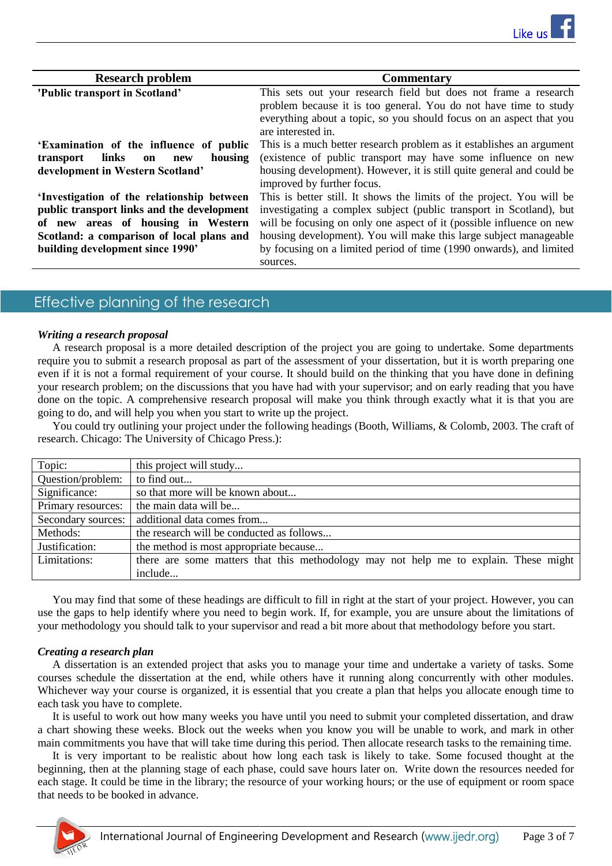| <b>Research problem</b>                    | <b>Commentary</b>                                                     |
|--------------------------------------------|-----------------------------------------------------------------------|
| 'Public transport in Scotland'             | This sets out your research field but does not frame a research       |
|                                            | problem because it is too general. You do not have time to study      |
|                                            | everything about a topic, so you should focus on an aspect that you   |
|                                            | are interested in.                                                    |
| 'Examination of the influence of public    | This is a much better research problem as it establishes an argument  |
| links<br>housing<br>transport<br>on<br>new | (existence of public transport may have some influence on new         |
| development in Western Scotland'           | housing development). However, it is still quite general and could be |
|                                            | improved by further focus.                                            |
| 'Investigation of the relationship between | This is better still. It shows the limits of the project. You will be |
| public transport links and the development | investigating a complex subject (public transport in Scotland), but   |
| of new areas of housing in Western         | will be focusing on only one aspect of it (possible influence on new  |
| Scotland: a comparison of local plans and  | housing development). You will make this large subject manageable     |
| building development since 1990'           | by focusing on a limited period of time (1990 onwards), and limited   |
|                                            | sources.                                                              |

# Effective planning of the research

#### *Writing a research proposal*

A research proposal is a more detailed description of the project you are going to undertake. Some departments require you to submit a research proposal as part of the assessment of your dissertation, but it is worth preparing one even if it is not a formal requirement of your course. It should build on the thinking that you have done in defining your research problem; on the discussions that you have had with your supervisor; and on early reading that you have done on the topic. A comprehensive research proposal will make you think through exactly what it is that you are going to do, and will help you when you start to write up the project.

You could try outlining your project under the following headings (Booth, Williams, & Colomb, 2003. The craft of research. Chicago: The University of Chicago Press.):

| Topic:             | this project will study                                                              |
|--------------------|--------------------------------------------------------------------------------------|
| Question/problem:  | to find out                                                                          |
| Significance:      | so that more will be known about                                                     |
| Primary resources: | the main data will be                                                                |
| Secondary sources: | additional data comes from                                                           |
| Methods:           | the research will be conducted as follows                                            |
| Justification:     | the method is most appropriate because                                               |
| Limitations:       | there are some matters that this methodology may not help me to explain. These might |
|                    | include                                                                              |

You may find that some of these headings are difficult to fill in right at the start of your project. However, you can use the gaps to help identify where you need to begin work. If, for example, you are unsure about the limitations of your methodology you should talk to your supervisor and read a bit more about that methodology before you start.

#### *Creating a research plan*

A dissertation is an extended project that asks you to manage your time and undertake a variety of tasks. Some courses schedule the dissertation at the end, while others have it running along concurrently with other modules. Whichever way your course is organized, it is essential that you create a plan that helps you allocate enough time to each task you have to complete.

It is useful to work out how many weeks you have until you need to submit your completed dissertation, and draw a chart showing these weeks. Block out the weeks when you know you will be unable to work, and mark in other main commitments you have that will take time during this period. Then allocate research tasks to the remaining time.

It is very important to be realistic about how long each task is likely to take. Some focused thought at the beginning, then at the planning stage of each phase, could save hours later on. Write down the resources needed for each stage. It could be time in the library; the resource of your working hours; or the use of equipment or room space that needs to be booked in advance.

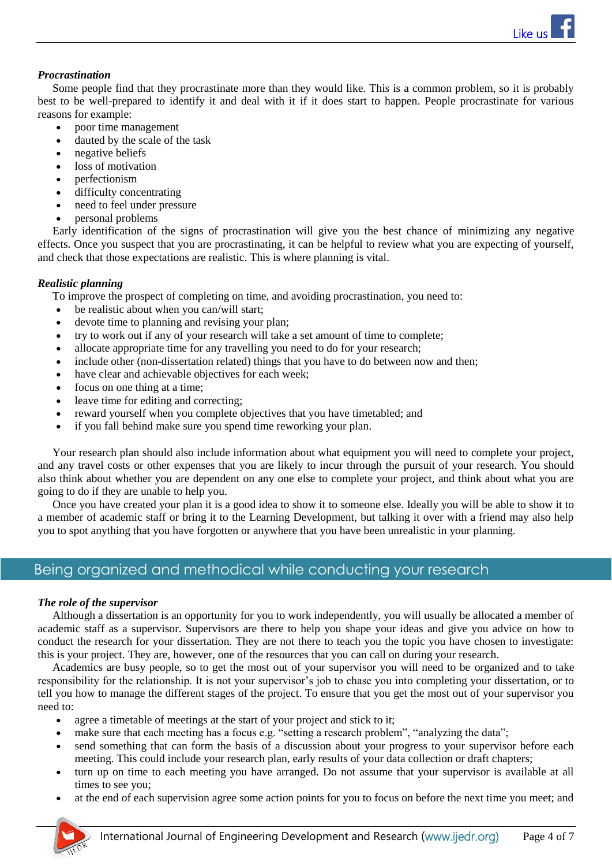[Like us](http://www.facebook.com/ijedr) 

## *Procrastination*

Some people find that they procrastinate more than they would like. This is a common problem, so it is probably best to be well-prepared to identify it and deal with it if it does start to happen. People procrastinate for various reasons for example:

- poor time management
- dauted by the scale of the task
- negative beliefs
- loss of motivation
- perfectionism
- difficulty concentrating
- need to feel under pressure
- personal problems

Early identification of the signs of procrastination will give you the best chance of minimizing any negative effects. Once you suspect that you are procrastinating, it can be helpful to review what you are expecting of yourself, and check that those expectations are realistic. This is where planning is vital.

#### *Realistic planning*

To improve the prospect of completing on time, and avoiding procrastination, you need to:

- be realistic about when you can/will start;
- devote time to planning and revising your plan;
- try to work out if any of your research will take a set amount of time to complete;
- allocate appropriate time for any travelling you need to do for your research;
- include other (non-dissertation related) things that you have to do between now and then;
- have clear and achievable objectives for each week;
- focus on one thing at a time;
- leave time for editing and correcting;
- reward yourself when you complete objectives that you have timetabled; and
- if you fall behind make sure you spend time reworking your plan.

Your research plan should also include information about what equipment you will need to complete your project, and any travel costs or other expenses that you are likely to incur through the pursuit of your research. You should also think about whether you are dependent on any one else to complete your project, and think about what you are going to do if they are unable to help you.

Once you have created your plan it is a good idea to show it to someone else. Ideally you will be able to show it to a member of academic staff or bring it to the Learning Development, but talking it over with a friend may also help you to spot anything that you have forgotten or anywhere that you have been unrealistic in your planning.

# Being organized and methodical while conducting your research

#### *The role of the supervisor*

Although a dissertation is an opportunity for you to work independently, you will usually be allocated a member of academic staff as a supervisor. Supervisors are there to help you shape your ideas and give you advice on how to conduct the research for your dissertation. They are not there to teach you the topic you have chosen to investigate: this is your project. They are, however, one of the resources that you can call on during your research.

Academics are busy people, so to get the most out of your supervisor you will need to be organized and to take responsibility for the relationship. It is not your supervisor's job to chase you into completing your dissertation, or to tell you how to manage the different stages of the project. To ensure that you get the most out of your supervisor you need to:

- agree a timetable of meetings at the start of your project and stick to it;
- make sure that each meeting has a focus e.g. "setting a research problem", "analyzing the data";
- send something that can form the basis of a discussion about your progress to your supervisor before each meeting. This could include your research plan, early results of your data collection or draft chapters;
- turn up on time to each meeting you have arranged. Do not assume that your supervisor is available at all times to see you;
- at the end of each supervision agree some action points for you to focus on before the next time you meet; and

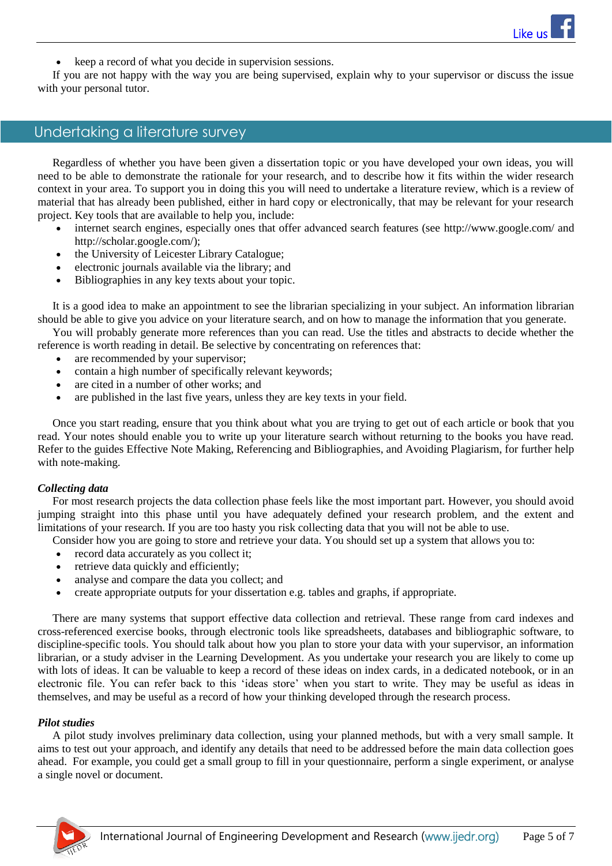keep a record of what you decide in supervision sessions.

If you are not happy with the way you are being supervised, explain why to your supervisor or discuss the issue with your personal tutor.

# Undertaking a literature survey

Regardless of whether you have been given a dissertation topic or you have developed your own ideas, you will need to be able to demonstrate the rationale for your research, and to describe how it fits within the wider research context in your area. To support you in doing this you will need to undertake a literature review, which is a review of material that has already been published, either in hard copy or electronically, that may be relevant for your research project. Key tools that are available to help you, include:

- internet search engines, especially ones that offer advanced search features (see<http://www.google.com/> and [http://scholar.google.com/\)](http://scholar.google.com/);
- the University of Leicester Library Catalogue;
- electronic journals available via the library; and
- Bibliographies in any key texts about your topic.

It is a good idea to make an appointment to see the librarian specializing in your subject. An information librarian should be able to give you advice on your literature search, and on how to manage the information that you generate.

You will probably generate more references than you can read. Use the titles and abstracts to decide whether the reference is worth reading in detail. Be selective by concentrating on references that:

- are recommended by your supervisor;
- contain a high number of specifically relevant keywords;
- are cited in a number of other works; and
- are published in the last five years, unless they are key texts in your field.

Once you start reading, ensure that you think about what you are trying to get out of each article or book that you read. Your notes should enable you to write up your literature search without returning to the books you have read. Refer to the guides [Effective Note Making,](http://www2.le.ac.uk/offices/ld/resources/study/notes) [Referencing and Bibliographies,](http://www2.le.ac.uk/offices/ld/resources/writing/writing-resources/ref-bib) and [Avoiding Plagiarism,](http://www2.le.ac.uk/offices/ld/resources/study/avoiding-plagiarism) for further help with note-making.

#### *Collecting data*

For most research projects the data collection phase feels like the most important part. However, you should avoid jumping straight into this phase until you have adequately defined your research problem, and the extent and limitations of your research. If you are too hasty you risk collecting data that you will not be able to use.

- Consider how you are going to store and retrieve your data. You should set up a system that allows you to:
- record data accurately as you collect it;
- retrieve data quickly and efficiently;
- analyse and compare the data you collect; and
- create appropriate outputs for your dissertation e.g. tables and graphs, if appropriate.

There are many systems that support effective data collection and retrieval. These range from card indexes and cross-referenced exercise books, through electronic tools like spreadsheets, databases and bibliographic software, to discipline-specific tools. You should talk about how you plan to store your data with your supervisor, an information librarian, or a study adviser in the Learning Development. As you undertake your research you are likely to come up with lots of ideas. It can be valuable to keep a record of these ideas on index cards, in a dedicated notebook, or in an electronic file. You can refer back to this 'ideas store' when you start to write. They may be useful as ideas in themselves, and may be useful as a record of how your thinking developed through the research process.

#### *Pilot studies*

A pilot study involves preliminary data collection, using your planned methods, but with a very small sample. It aims to test out your approach, and identify any details that need to be addressed before the main data collection goes ahead. For example, you could get a small group to fill in your questionnaire, perform a single experiment, or analyse a single novel or document.

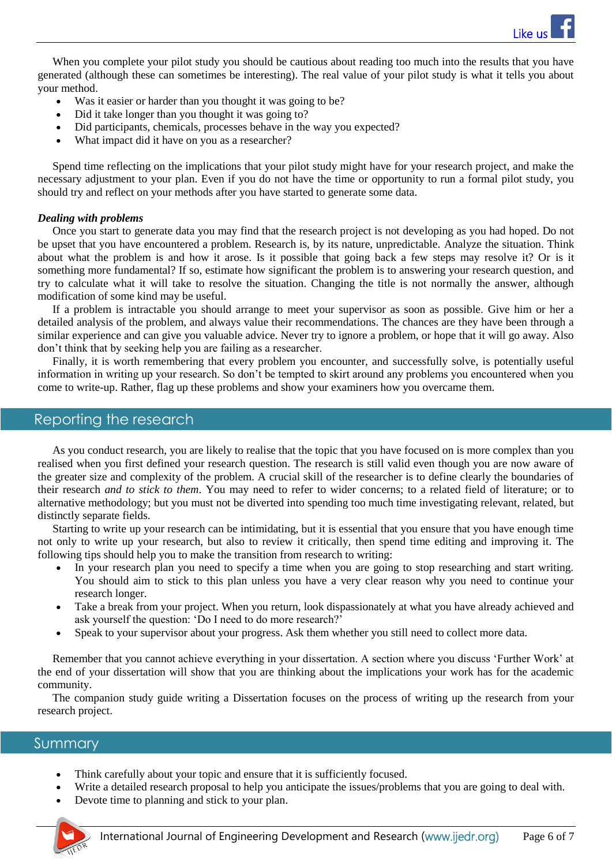When you complete your pilot study you should be cautious about reading too much into the results that you have generated (although these can sometimes be interesting). The real value of your pilot study is what it tells you about your method.

- Was it easier or harder than you thought it was going to be?
- Did it take longer than you thought it was going to?
- Did participants, chemicals, processes behave in the way you expected?
- What impact did it have on you as a researcher?

Spend time reflecting on the implications that your pilot study might have for your research project, and make the necessary adjustment to your plan. Even if you do not have the time or opportunity to run a formal pilot study, you should try and reflect on your methods after you have started to generate some data.

## *Dealing with problems*

Once you start to generate data you may find that the research project is not developing as you had hoped. Do not be upset that you have encountered a problem. Research is, by its nature, unpredictable. Analyze the situation. Think about what the problem is and how it arose. Is it possible that going back a few steps may resolve it? Or is it something more fundamental? If so, estimate how significant the problem is to answering your research question, and try to calculate what it will take to resolve the situation. Changing the title is not normally the answer, although modification of some kind may be useful.

If a problem is intractable you should arrange to meet your supervisor as soon as possible. Give him or her a detailed analysis of the problem, and always value their recommendations. The chances are they have been through a similar experience and can give you valuable advice. Never try to ignore a problem, or hope that it will go away. Also don't think that by seeking help you are failing as a researcher.

Finally, it is worth remembering that every problem you encounter, and successfully solve, is potentially useful information in writing up your research. So don't be tempted to skirt around any problems you encountered when you come to write-up. Rather, flag up these problems and show your examiners how you overcame them.

# Reporting the research

As you conduct research, you are likely to realise that the topic that you have focused on is more complex than you realised when you first defined your research question. The research is still valid even though you are now aware of the greater size and complexity of the problem. A crucial skill of the researcher is to define clearly the boundaries of their research *and to stick to them*. You may need to refer to wider concerns; to a related field of literature; or to alternative methodology; but you must not be diverted into spending too much time investigating relevant, related, but distinctly separate fields.

Starting to write up your research can be intimidating, but it is essential that you ensure that you have enough time not only to write up your research, but also to review it critically, then spend time editing and improving it. The following tips should help you to make the transition from research to writing:

- In your research plan you need to specify a time when you are going to stop researching and start writing. You should aim to stick to this plan unless you have a very clear reason why you need to continue your research longer.
- Take a break from your project. When you return, look dispassionately at what you have already achieved and ask yourself the question: 'Do I need to do more research?'
- Speak to your supervisor about your progress. Ask them whether you still need to collect more data.

Remember that you cannot achieve everything in your dissertation. A section where you discuss 'Further Work' at the end of your dissertation will show that you are thinking about the implications your work has for the academic community.

The companion study guide writing [a Dissertation](http://www2.le.ac.uk/offices/ld/resources/writing/writing-resources/writing-dissertation) focuses on the process of writing up the research from your research project.

# **Summary**

- Think carefully about your topic and ensure that it is sufficiently focused.
- Write a detailed research proposal to help you anticipate the issues/problems that you are going to deal with.
- Devote time to planning and stick to your plan.